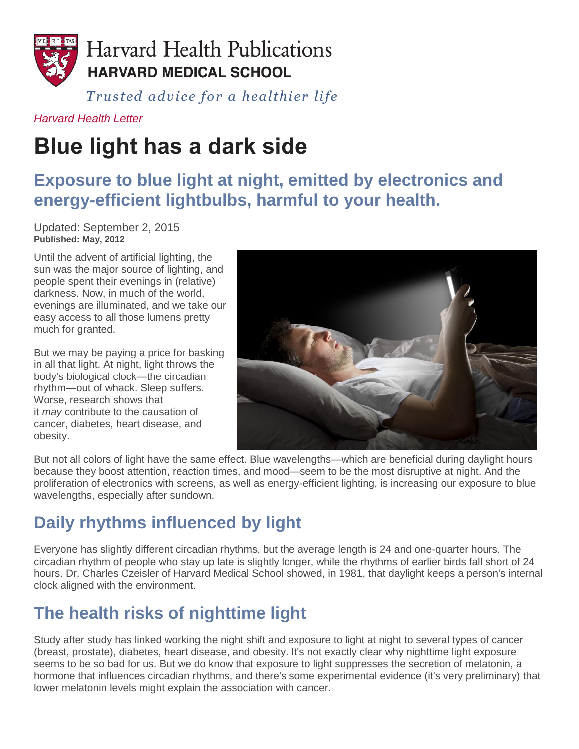

Trusted advice for a healthier life

#### *[Harvard Health Letter](https://www.health.harvard.edu/newsletters/harvard_health_letter/2012/may)*

# **Blue light has a dark side**

### **Exposure to blue light at night, emitted by electronics and energy-efficient lightbulbs, harmful to your health.**

Updated: September 2, 2015 **Published: May, 2012**

Until the advent of artificial lighting, the sun was the major source of lighting, and people spent their evenings in (relative) darkness. Now, in much of the world, evenings are illuminated, and we take our easy access to all those lumens pretty much for granted.

But we may be paying a price for basking in all that light. At night, light throws the body's biological clock—the circadian rhythm—out of whack. Sleep suffers. Worse, research shows that it *may* contribute to the causation of cancer, diabetes, heart disease, and obesity.



But not all colors of light have the same effect. Blue wavelengths—which are beneficial during daylight hours because they boost attention, reaction times, and mood—seem to be the most disruptive at night. And the proliferation of electronics with screens, as well as energy-efficient lighting, is increasing our exposure to blue wavelengths, especially after sundown.

# **Daily rhythms influenced by light**

Everyone has slightly different circadian rhythms, but the average length is 24 and one-quarter hours. The circadian rhythm of people who stay up late is slightly longer, while the rhythms of earlier birds fall short of 24 hours. Dr. Charles Czeisler of Harvard Medical School showed, in 1981, that daylight keeps a person's internal clock aligned with the environment.

# **The health risks of nighttime light**

Study after study has linked working the night shift and exposure to light at night to several types of cancer (breast, prostate), diabetes, heart disease, and obesity. It's not exactly clear why nighttime light exposure seems to be so bad for us. But we do know that exposure to light suppresses the secretion of melatonin, a hormone that influences circadian rhythms, and there's some experimental evidence (it's very preliminary) that lower melatonin levels might explain the association with cancer.